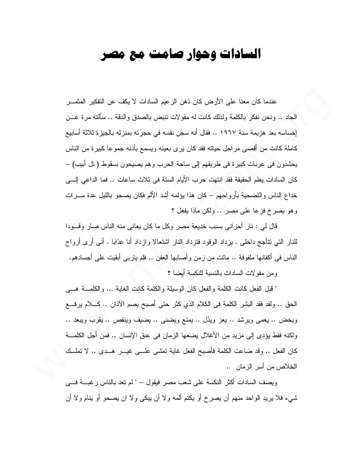## السادات وحوار صامت مع مصر

عندما كان معنا على الأر ض كان ذهن الز عيم السادات لا يكف عن التفكير المثمـــر الجاد .. ونحن نفكر بالكلمة ولذلك كانت له مقو لات تتبض بالصدق و الدقة .. سألته مر ة عـــن إحساسه بعد هزيمة سنة ١٩٦٧ .. فقال أنه سجن نفسه في حجرته بمنزله بالجيزة ثلاثة أسابيع كاملة كانت من أقصـي مراحل حياته فقد كان برى بعينه ويسمع بأذنه جموعا كبيرة من الناس يحشدون في عربات كبيرة في طريقهم إلى ساحة الحرب وهم يصيحون بسقوط ( نل أبيب) – كان السادات يعلم الحقيقة فقد انتهت حرب الأيام الستة في ثلاث ساعات .. فما الداعي إلـــي خداع الناس والتضحية بأرواحهم – كان هذا يؤلمه أشد الألم فكان يصحو بالليل عدة مـــرات وهو يصرخ فزعا على مصر .. ولكن ماذا يفعل ؟

قال لي : نار أحزاني بسبب خديعة مصر وكل ما كان يعاني منه الناس صار وقـــودا للنار التي نتأجج داخلي . بزداد الوقود فتزداد النار اشتعالا وإزداد أنا عذابا . أنبي أرى أرواح الناس في أكفانها ملفوفة .. مانت من ز من و أصابها العفن .. فلم يار بي أبقيت على أجسادهم.

و من مقوٍ لات السادات بالنسبة للنكسة أبضـا ؟

" قبل الفعل كانت الكلمة والفعل كان الوسيلة والكلمة كانت الغاية ,.. والكلمـــة هـــي الحق .. ولقد فقد البشر الكلمة في الكلام الذي كثر حتى أصبح يصم الآذان .. كــــلام يرفــــع ويخض .. يعمى ويرشد .. يعز ويذل .. يمتع ويضنى .. يضيف وينقص .. يقرب ويبعد .. ولكنه فقط يؤدي إلى مزيد من الأغلال يضعها الزمان في عنق الإنسان .. فمن أجل الكلمــــة كان الفعل .. وقد ضاعت الكلمة فأصبح الفعل غاية تمشي علـــي غيـــر هـــدى .. لا تملـــك الخلاص من أسر الزمان ..

وبصف السادات أكثر النكسة على شعب مصر فبقول — " لم تعد بالناس ر غبــــة فــــى شبيء فلا يريد الواحد منهم أن يصرخ أو يكتم ألمه ولا أن يبكي ولا ان يصحو أو ينام ولا أن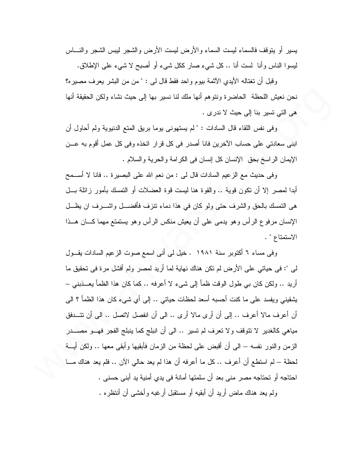يسير أو يتوقف فالسماء ليست السماء والأرض ليست الأرض والشجر ليبس الشجر والنساس ليسوا الناس وأنا لست أنا .. كل شيء صار ككل شيء أو أصبح لا شيء على الإطلاق.

وقبل أن نغتاله الأيدي الآثمة بيوم واحد فقط قال لي : " من من البشر يعرف مصير ه؟ نـحن نـعيش اللـحظـة الـحاضـرة وننوهم أنـها ملك لنـا نسير بـها إلـى حيث نشاء ولكن الـحقيقة أنـها هي التي تسير بنا إلى حيث لا ندرى .

وفي نفس اللقاء قال السادات : " لم يستهوني يوما بريق المتع الدنيوية ولم أحاول أن ابني سعادتي على حساب الآخرين فانا أصدر في كل قرار اتخذه وفي كل عمل أقوم به عـــن الإيمان الراسخ بحق الإنسان كل إنسان في الكرامة والحرية والسلام .

وفي حديث مع الزعيم السادات قال لي : من نعم الله على البصيرة .. فانا لا أســـمح أبدا لمصر إلا أن نكون قوية .. والقوة هنا ليست قوة العضلات أو النمسك بأمور زائلة بـــل هي التمسك بالحق والشرف حتى ولو كان في هذا دماء نتزف فأفضـــل واشـــرف ان يظـــل الإنسان مرفوع الرأس وهو يدمى على أن يعيش منكس الرأس وهو يستمتع مهما كـــان هـــذا الاستمتاع " .

وفي مساء ٦ أكتوبر سنة ١٩٨١ . خيل لي أني اسمع صوت الزعيم السادات يقــول لى ": في حياتي على الأرض لم تكن هناك نهاية لما أريد لمصر ولم أفشل مرة في تحقيق ما أريد .. ولكن كان بي طول الوقت ظمأ إلى شيء لا أعرفه .. كما كان هذا الظمأ يعـــذبني – يشقيني ويفسد على ما كنت أحسبه أسعد لحظات حياتي .. إلى أي شيىء كان هذا الظمأ ؟ الى أن أعرف مالا أعرف .. إلى أن أرى مالا أرى .. الى أن انفصل لاتصل .. الى أن تتــدفق مياهي كالغدير لا تتوقف ولا تعرف لم تسير .. الى أن انبلج كما ينبلج الفجر فهــو مصــــدر الزمن والنور نفسه – الى أن أقبض على لحظة من الزمان فأبقيها وأبقى معها .. ولكن أيـــة لحظة – لم استطع أن أعر ف .. كل ما أعر فه أن هذا لم يعد حالبي الآن .. فلم يعد هناك مـــا ا احتاجه أو تحتاجه مصر مني بعد أن سلمتها أمانة في يدي أمنية يد أبني حسني . ولم يعد هناك ماض أريد أن أبقيه أو مستقبل أرغبه وأخشى أن أنتظره .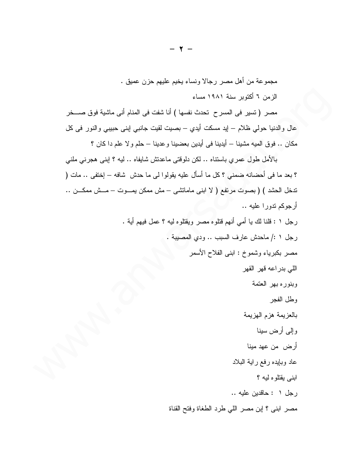مجموعة من أهل مصر رجالا ونساء يخيم عليهم حزن عميق . الزمن ٦ أكتوبر سنة ١٩٨١ مساء

مصر ( تسير في المسر ح تحدث نفسها ) أنا شفت في المنام أني ماشية فوق صــــخر عالٍ والدنيا حولي ظلامٍ – ايد مسكت أيديٍ – بصيتٍ لقيتٍ جانبي إبني حبيبي والنور في كل مكان .. فوق الميه مشينا – أيدينا في أيدين بعضينا وعدينا – حلم ولا علم دا كان ؟

بالأمل طول عمري باستناه .. لكن دلوقتي ماعدتش شايفاه .. ليه ؟ ابني هجرني ملني ؟ بعد ما في أحضانه ضمني ؟ كل ما أسأل عليه بقولوا لي ما حدش شافه – إختفي .. مات ( ندخل الحشد ) ( بصوت مرتفع ( لا ابنى ماماتشى – مش ممكن بمـــوت – مـــش ممكـــن .. أرجوكم تدورا عليه .. رجل ١ : قلنا لك يا أمي أنهم قتلوه مصر ويقتلوه ليه ؟ عمل فيهم أية . رجل ١ :/ ماحدش عارف السبب .. ودى المصيبة . مصر بكبرياء وشموخ : ابنـي الفلاح الأسمر اللي بدراعه قهر القهر وبنوره بهر العتمة وطل الفجر بالعزيمة هزم الهزيمة وإلى أرض سينا أرض من عهد مينا عاد وبايده رفع راية البلاد ابني يقتلوه ليه ؟ رجل ١ : حاقدين عليه ..

مصر ابني ؟ إبن مصر اللي طرد الطغاة وفتح القناة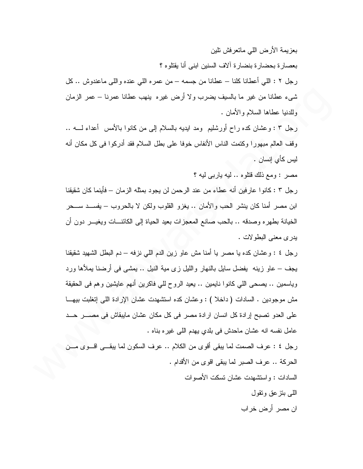بعز بمة الأرض اللبي ماتعر فش تلين بعصار ة بحضار ة بنضار ة آلاف السنين ابني أنا يقتلوه ؟ رجل ٢ : اللَّـي أعطانا كلَّنا – عطانا من جسمه – من عمره اللَّـي عنده واللَّـي ماعندوش .. كلَّ شيء عطانا من غير ما بالسيف يضرب ولا أرض غيره ينهب عطانا عمرنا – عمر الزمان وللدنيا عطاها السلام والأمان .

رجل ٣ : وعشان كده راح أورشليم ۖ ومد ايديه بالسلام إلى من كانوا بالأمس ۖ أعداء لــــه .. وقف العالم مبهورا وكتمت الناس الأنفاس خوفا على بطل السلام فقد أدركوا في كل مكان أنه ليس كأي إنسان . ا

مصر : ومع ذلك قتلوه .. ليه باربي ليه ؟

رجل ٣ : كانوا عارفين أنه عطاء من عند الرحمن لن يجود بمثله الزمان – فأينما كان شقيقنا ابن مصر أمنا كان ينشر الحب والأمان .. يغزو القلوب ولكن لا بالحروب – يفســد ســـحر الخيانة بطهره وصدقه .. بالحب صانع المعجزات بعيد الحياة إلى الكائنـــات ويغيـــر دون أن يدري معنى البطولات .

رجل ٤ : وعشان كده يا مصر يا أمنا مش عاو زين الدم اللي نزفه – دم البطل الشهيد شقيقنا يجف – عاو زينه يفضل سايل بالنهار والليل زي مية النيل .. يمشى في أرضنا يملأها ورد وياسمين .. يصحى اللَّي كانوا نايمين .. يعيد الروح للَّي فاكرين أنَّهم عايشين وهم في الحقيقة مش موجودين . السادات ( داخلا ) : وعشان كده استشهدت عشان الإرادة اللبي إنغلبت بيهـــا على العدو تصبح إرادة كل انسان ارادة مصر في كل مكان عشان مايبقاش في مصــــر حـــد عامل نفسه انه عشان ماحدش في بلدي يهدم اللي غيره بناه .

رجل ٤ : عرف الصمت لما يبقى أقوى من الكلام .. عرف السكون لما يبقــي اقـــوى مـــن الحركة .. عرف الصبر لما يبقى اقو ي من الأقدام . السادات : و استشهدت عشان تسكت الأصبو ات

> اللَّـي بنز عق ونقول ان مصر أرض خراب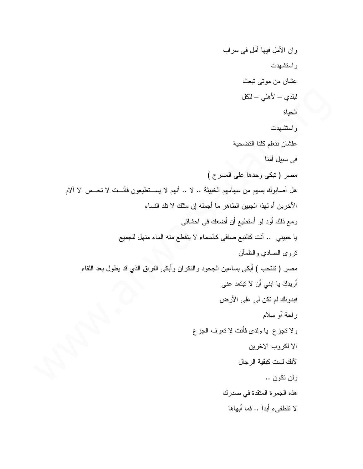وان الأمل فيها أمل في سراب و استشهدت عشان من موتبي تبعث لبلدي – لأهلى – للكل الحياة واستشهدت علشان نتعلم كلنا التضحية في سبيل أمنا مصر (تبكي وحدها على المسرح) هل أصابوك بسهم من سهامهم الخبيثة .. لا .. أنهم لا يســتطيعون فأنــت لا تحــس الا آلام الآخرين أه لهذا الجبين الطاهر ما أجمله إن مثلك لا نلد النساء ومع ذلك أود لو أستطيع أن أضعك في احشائي يا حبيبي .. أنت كالنبع صافى كالسماء لا ينقطع منه الماء منهل للجميع نروى الصادي والظمأن مصر ( نتنحب ) أبكي بساعين الجحود والنكران وأبكي الفراق الذي قد بطول بعد اللقاء أريدك يا ابني أن لا تبتعد عني فبدونك لم نكن لمي علمي الأرض راحة أو سلام ولا نجزع يا ولدى فأنت لا نعرف الجزع الا لكروب الآخرين لأنك لست كبقية الرجال ولن تكون .. هذه الجمرة المنقدة في صدرك لا تتطفىء أبدآ .. فما أبهاها